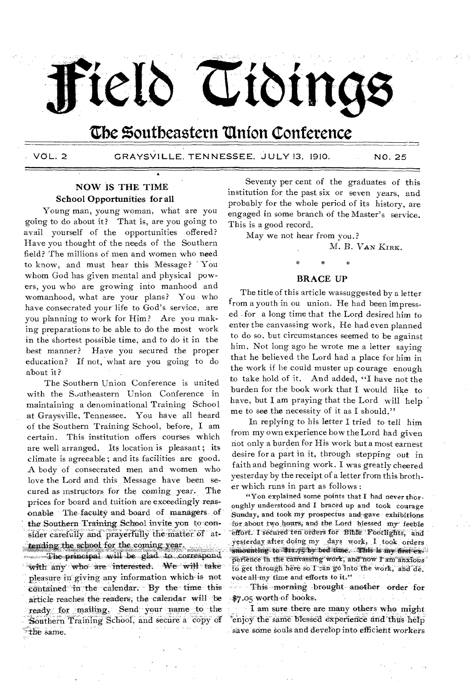# Teld Tiding

# **the %outbeastern 'Union Conference**

VOL. 2 GRAYSVILLE, TENNESSEE, JULY 13, 1910. NO. 25

# NOW IS THE TIME School Opportunities for all

Young man, young woman, what are you going to do about it? That is, are you going to avail yourself of the opportunities offered? Have you thought of the needs of the Southern field? The millions of men and women who need to know, and must hear this Message? You whom God has given mental and physical powers, you who are growing into manhood and womanhood, what are your plans? You, who have consecrated your life to God's service; are you planning to work for Him? Are, you making preparations to be able to do the most work in the shortest possible time, and to do it in the best manner? Have you secured the proper education? If not, what are you going to do about it?

The Southern Union Conference is united with the Southeastern Union Conference in maintaining a denominational Training School at Graysville, Tennessee. You have all heard of the Southern Training School, before, I am certain. This institution offers courses which are well arranged. Its location is pleasant ; its climate is agreeable ; and its facilities .are good. A body of consecrated men and women who love the Lord and this Message have been secured as instructors for the coming year. The prices for board and tuition are exceedingly reasonable The faculty and, board of .managers. of the Southern Training School invite. you to-con sider carefully and prayerfully the matter of attending the school for the coming year.

-The principal will be glad to correspond  $'$  with any who are interested. We will take pleasure in giving any information which is not contained in the calendar. By the time this article reaches the readers, the calendar will be ready for mailing. Send your name to the Southern Training School, and secure a copy of the same.

Seventy per cent of the graduates of this institution for the past six or seven years, and probably for the whole period of its history, are engaged in some branch of the Master's service. This is a good record.

May we not hear from you.?

M. B. VAN KIRK.

### BRACE UP

The title of this article wassuggested by a letter from a youth in ou union. He had been impressed . for a long time that the Lord desired him to enter the canvassing work, He had even planned to do so. but circumstances seemed to be against him. Not long ago he wrote me a letter saying that he believed the Lord had a, place for him in the work if he could muster up courage enough to take hold of it. And added, "I have not the burden for the book work that I would like to have, but I am praying that the Lord will help me to see the necessity of it as I should."

In replying to his letter I tried to tell him from my own experience how the Lord had given not only a burden for His work but a most earnest desire for a part in it, through stepping out in faith and beginning work. I was greatly cheered yesterday by the receipt of a letter from this brother which runs in part as follows :

"You explained some points that I had never thoroughly understood and I braced up and took courage Sunday, and took my prospectus and gave exhibitions for about two hours, and the Lord blessed my feeble effort. I secured ten orders for 'Bible.' Footlights, and yesterday after doing my days work, I took orders.  $\frac{1}{2}$ mounting. to...4xx.7.5.by bed time. This is my first  $\epsilon_{2}$ perience in the canvassing work, and now I am anxious' to get through here so I 2an go into the work, and devote all my time and efforts to it."

This morning brought another order for \$7.05 worth of books.

I am sure there are many others who might enjoy the same blessed experience and thus help save some souls and develop into efficient workers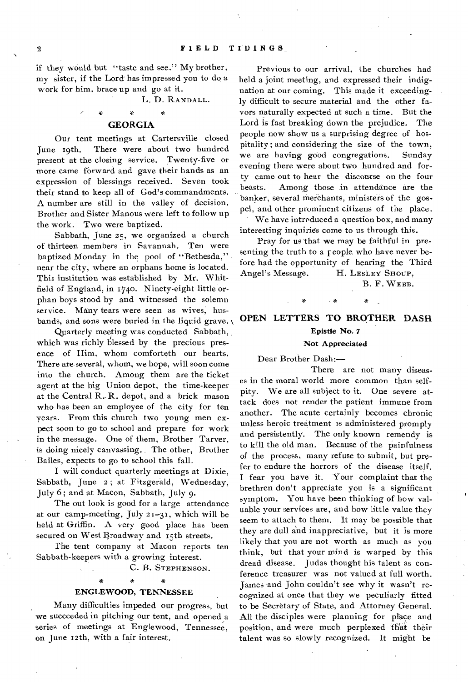if they would but "taste and see." My brother, my sister, if the Lord has impressed you to do a work for him, brace up and go at it.

L. D. RANDALL.

## **GEORGIA**

Our tent meetings at Cartersville closed June 19th. There were about two hundred present at the closing service. Twenty-five or more came forward and gave their hands as an expression of blessings received. Seven took their stand to keep all of God's commandments. A number are still in the valley of decision. Brother and Sister Manous were left to follow up the work. Two were baptized.

Sabbath, June 25, we organized a church of thirteen members in Savannah. Ten were baptized Monday in the pool of "Bethesda," near the city, where an orphans home is located. This institution was established by Mr. Whitfield of England, in 1740. Ninety-eight little orphan boys stood by and witnessed the solemn service. Many tears were seen as wives, husbands, and sons were buried in the liquid grave.

Quarterly- meeting was conducted Sabbath, which was richly blessed by the precious presence of Him, whom comforteth our hearts. There are several, whom, we hope, will soon come into the church. Among them are the ticket agent at the big Union depot, the time-keeper at the Central R. R. depot, and a brick mason who has been an employee of the city for ten years. From this church two young men expect soon to go to school and prepare for work in the message. One of them, Brother Tarver, is doing nicely canvassing. The other, Brother Bailes, expects to go to school this fall.

I will conduct quarterly meetings at Dixie, Sabbath, June 2; at Fitzgerald, Wednesday, July 6 ; and at Macon, Sabbath, July 9.

The out look is good for a large attendance at our camp-meeting, July 21-31, which will be held at Griffin. A very good place has been secured on West Broadway and 15th streets.

The tent company at Macon reports ten Sabbath-keepers with a growing interest.

C. B. STEPHENSON.

### ENGLEWOOD, TENNESSEE

Many difficulties impeded our progress, but we succeeded in pitching our tent, and opened a series of meetings at Englewood, Tennessee, on June 12th, with a fair interest.

Previous to our arrival, the churches had held a joint meeting, and expressed their indignation at our coming. This made it exceedingly difficult to secure material and the other favors naturally expected at such a time. But the Lord is fast breaking down the prejudice. The people now show us a surprising degree of hospitality ; and considering the size of the town, we are having good congregations. Sunday evening there were about two hundred and forty came out to hear the discourse on the four beasts. Among those in attendance are the banker, several merchants, ministers of the gospel, and other prominent citizens of the place. We have introduced a question box, and many

interesting inquiries come to us through this.

Pray for us that we may be faithful in presenting the truth to a people who have never before had the opportunity of hearing the Third Angel's Message. H. LESLEY SHOUP,

B. F. WEBB.

# **OPEN LETTERS TO BROTHER DASH**  Epistle No. 7

### Not Appreciated

Dear Brother Dash:—

There are not many diseases in the moral world more common than selfpity. We are all subject to it. One severe attack does not render the patient immune from another. The acute certainly becomes chronic unless heroic treatment is administered promply and persistently. The only known remendy is to kill the old man. Because of the painfulness of the process, many refuse to submit, but prefer to endure the horrors of the disease itself. I fear you have it. Your complaint that the brethren don't appreciate you is a significant symptom. You have been thinking of how valuable your services are, and how little value they seem to attach to them. It may be possible that they are dull and inappreciative, but it is more likely that you are not worth as much as you think, but that your mind is warped by this dread disease. Judas thought his talent as conference treasurer was not valued at full worth. James 'and John couldn't see why it wasn't recognized at once that they we peculiarly fitted to be Secretary of State, and Attorney General. All the disciples were planning for place and position, and were much perplexed that their talent was so slowly recognized. It might be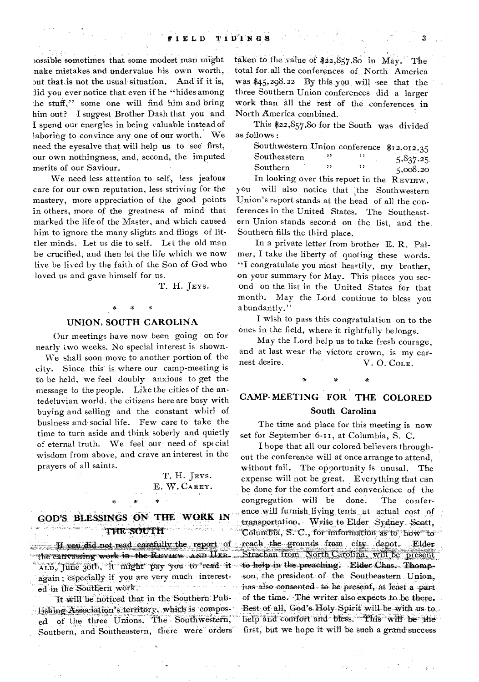>ossible sometimes that some modest man might nake mistakes and undervalue his own worth, put that is not the usual situation. And if it is, lid you ever notice that even if he "hides among :he stuff," some one will find him and bring him out? I suggest Brother Dash that you and I spend our energies in being valuable instead of laboring to convince any one of our worth. We need the eyesalve that will help us to see first, our own nothingness, and, second, the imputed merits of our Saviour.

We need less attention to self, less jealous care for our own reputation, less striving for the mastery, more appreciation of the good points in others, more of the greatness of mind that marked the life of the Master, and which caused him to ignore the many slights and flings of littler minds, Let us die to self. Let the old man be crucified, and then let the life which we now live be lived by the faith of the Son of God who loved us and gave himself for us.

T. H. JEYS.

# **UNION, SOUTH CAROLINA**

**\*** 

Our meetings have now been going on for nearly two weeks. No special interest is shown.

We shall soon move to another portion of the city. Since this is where our camp-meeting is to be held, we feel doubly anxious to get the message to the people. Like the cities of the antedeluvian world, the citizens here are busy with buying and selling and the constant whirl of business and social life. Few care to take the time to turn aside and think soberly and quietly of eternal truth. We feel our need of special wisdom from above, and crave an interest in the prayers of all saints.

> T. H. JEYS. E. W. CAREY.

# **GOD'S BLESSINGS ON THE WORK IN THE SOUTH**

\*

**11 you did not read carefully the report** of The canvassing work in the REVIEW AND HER. again; especially if you are very much interest-. . . . ed in the Southern work. rias es

It will be noticed that in the Southern Publishing Association's territory. which is composed of the three Unions. The Southwestern,' Southern, and Southeastern, there were orders

taken to the value of  $$22,857.80$  in May. The total for all the conferences of North America was \$45,298.22 By this you will see that the three Southern Union conferences did a larger work than all the rest of the conferences in North America combined.

This \$22,857.80 for the South was divided as follows :

| Southwestern Union conference \$12,012.35 |    |     |          |
|-------------------------------------------|----|-----|----------|
| Southeastern                              |    |     | 5,837.25 |
| Southern                                  | ,, | , 1 | 5,008.20 |

In looking over this report in the REVIEW, you will also notice that the Southwestern Union's report stands at the head of all the conferences in the United States. The Southeastern Union stands second on the list, and the. Southern fills the third place.

In a private letter from brother E. R. Palmer, I take the liberty of quoting these words. "I congratulate you most heartily, my brother, on your summary for May. This places you second on the list in the United States for that month. May the Lord continue to bless you abundantly."

I wish to pass this congratulation on to the ones in the field, where it rightfully belongs.

May the Lord help us to take fresh courage, and at last wear the victors crown, is my earnest desire.  $V, O, Co_{LE}$ V. O. COLE.

# **CAMP-MEETING FOR THE COLORED**

### **South Carolina**

The time and place for this meeting is now set for September 6-1i, at Columbia, S. C.

, June 30th, it might pay you to read it to help in the preaching. Elder Chas. Thomp, I hope that all our colored believers throughout the conference will at once arrange to attend, without fail. The opportunity is unusal. The expense will not be great. Everything that can be done for the comfort and convenience of the congregation will be done. The conference will furnish, living tents, at actual cost of ransportation. Write to Elder Sydney Scott, Tolumbia, S. C., for imformation as to how to reach the grounds from city depot. Elder Strachan from North Carolina, will be present son, the president of the Southeastern Union, has also consented to be present, at least a part. of the time. The writer also expects to be there. Best of all, God's-Holy Spirit will be with us to help and comfort and bless. This will be the first, but we hope it will be such a grand success